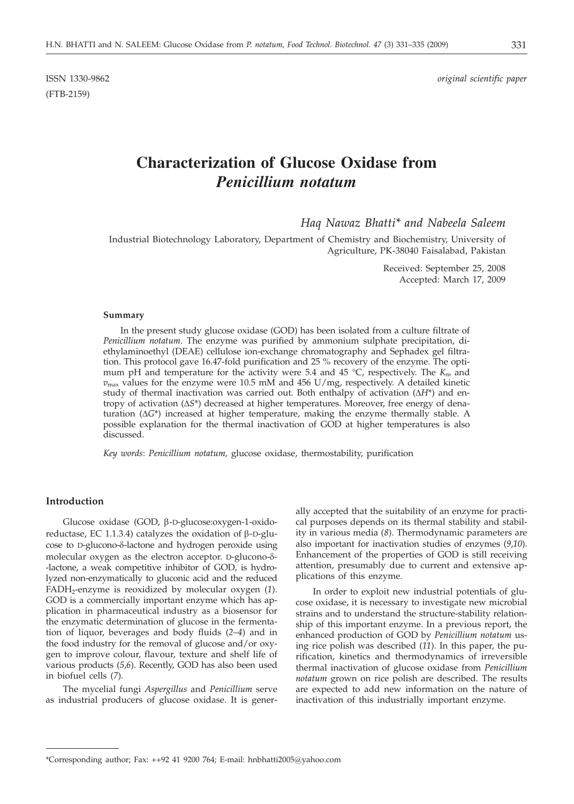(FTB-2159)

# **Characterization of Glucose Oxidase from** *Penicillium notatum*

*Haq Nawaz Bhatti\* and Nabeela Saleem*

Industrial Biotechnology Laboratory, Department of Chemistry and Biochemistry, University of Agriculture, PK-38040 Faisalabad, Pakistan

> Received: September 25, 2008 Accepted: March 17, 2009

#### **Summary**

In the present study glucose oxidase (GOD) has been isolated from a culture filtrate of *Penicillium notatum*. The enzyme was purified by ammonium sulphate precipitation, diethylaminoethyl (DEAE) cellulose ion-exchange chromatography and Sephadex gel filtration. This protocol gave 16.47-fold purification and 25 % recovery of the enzyme. The optimum pH and temperature for the activity were 5.4 and 45 °C, respectively. The  $K<sub>m</sub>$  and  $v_{\text{max}}$  values for the enzyme were 10.5 mM and 456 U/mg, respectively. A detailed kinetic study of thermal inactivation was carried out. Both enthalpy of activation  $(\Delta H^*)$  and entropy of activation  $(\Delta S^*)$  decreased at higher temperatures. Moreover, free energy of denaturation  $(\Delta G^*)$  increased at higher temperature, making the enzyme thermally stable. A possible explanation for the thermal inactivation of GOD at higher temperatures is also discussed.

*Key words*: *Penicillium notatum,* glucose oxidase, thermostability, purification

## **Introduction**

Glucose oxidase (GOD, b-D-glucose:oxygen-1-oxidoreductase, EC 1.1.3.4) catalyzes the oxidation of  $\beta$ -D-glucose to D-glucono- $\delta$ -lactone and hydrogen peroxide using molecular oxygen as the electron acceptor. D-glucono-δ--lactone, a weak competitive inhibitor of GOD, is hydrolyzed non-enzymatically to gluconic acid and the reduced FADH<sub>2</sub>-enzyme is reoxidized by molecular oxygen (1). GOD is a commercially important enzyme which has application in pharmaceutical industry as a biosensor for the enzymatic determination of glucose in the fermentation of liquor, beverages and body fluids (*2*–*4*) and in the food industry for the removal of glucose and/or oxygen to improve colour, flavour, texture and shelf life of various products (*5*,*6*). Recently, GOD has also been used in biofuel cells (*7*).

The mycelial fungi *Aspergillus* and *Penicillium* serve as industrial producers of glucose oxidase. It is gener-

ally accepted that the suitability of an enzyme for practical purposes depends on its thermal stability and stability in various media (*8*). Thermodynamic parameters are also important for inactivation studies of enzymes (*9*,*10*). Enhancement of the properties of GOD is still receiving attention, presumably due to current and extensive applications of this enzyme.

In order to exploit new industrial potentials of glucose oxidase, it is necessary to investigate new microbial strains and to understand the structure-stability relationship of this important enzyme. In a previous report, the enhanced production of GOD by *Penicillium notatum* using rice polish was described (*11*). In this paper, the purification, kinetics and thermodynamics of irreversible thermal inactivation of glucose oxidase from *Penicillium notatum* grown on rice polish are described. The results are expected to add new information on the nature of inactivation of this industrially important enzyme.

<sup>\*</sup>Corresponding author; Fax: ++92 41 9200 764; E-mail: hnbhatti2005@yahoo.com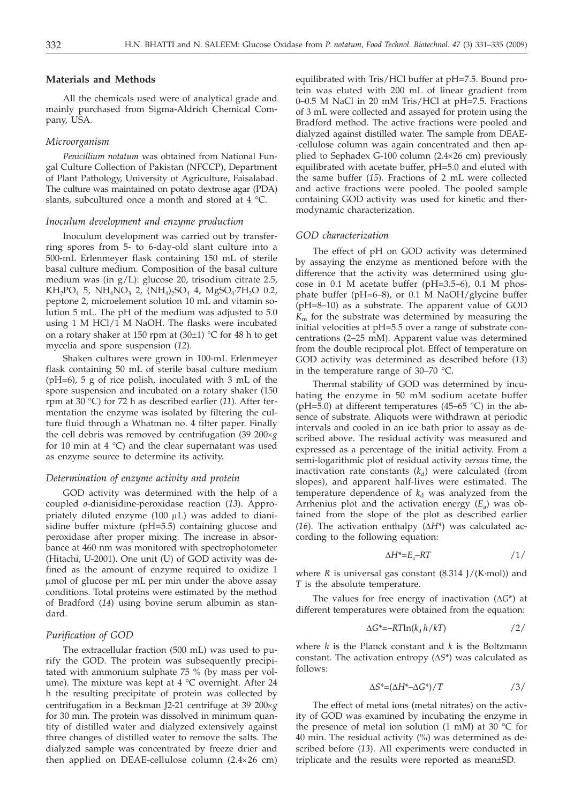## **Materials and Methods**

All the chemicals used were of analytical grade and mainly purchased from Sigma-Aldrich Chemical Company, USA.

## *Microorganism*

*Penicillium notatum* was obtained from National Fungal Culture Collection of Pakistan (NFCCP), Department of Plant Pathology, University of Agriculture, Faisalabad. The culture was maintained on potato dextrose agar (PDA) slants, subcultured once a month and stored at 4 °C.

#### *Inoculum development and enzyme production*

Inoculum development was carried out by transferring spores from 5- to 6-day-old slant culture into a 500-mL Erlenmeyer flask containing 150 mL of sterile basal culture medium. Composition of the basal culture medium was (in g/L): glucose 20, trisodium citrate 2.5,  $KH_2PO_4$  5,  $NH_4NO_3$  2,  $(NH_4)_2SO_4$  4,  $MgSO_4 \cdot 7H_2O$  0.2, peptone 2, microelement solution 10 mL and vitamin solution 5 mL. The pH of the medium was adjusted to 5.0 using 1 M HCl/1 M NaOH. The flasks were incubated on a rotary shaker at 150 rpm at  $(30±1)$  °C for 48 h to get mycelia and spore suspension (*12*).

Shaken cultures were grown in 100-mL Erlenmeyer flask containing 50 mL of sterile basal culture medium (pH=6), 5 g of rice polish, inoculated with 3 mL of the spore suspension and incubated on a rotary shaker (150 rpm at 30 °C) for 72 h as described earlier (*11*). After fermentation the enzyme was isolated by filtering the culture fluid through a Whatman no. 4 filter paper. Finally the cell debris was removed by centrifugation  $(39 \ 200 \times g)$ for 10 min at 4  $^{\circ}$ C) and the clear supernatant was used as enzyme source to determine its activity.

## *Determination of enzyme activity and protein*

GOD activity was determined with the help of a coupled *o*-dianisidine-peroxidase reaction (*13*). Appropriately diluted enzyme  $(100 \mu L)$  was added to dianisidine buffer mixture (pH=5.5) containing glucose and peroxidase after proper mixing. The increase in absorbance at 460 nm was monitored with spectrophotometer (Hitachi, U-2001). One unit (U) of GOD activity was defined as the amount of enzyme required to oxidize 1 mmol of glucose per mL per min under the above assay conditions. Total proteins were estimated by the method of Bradford (*14*) using bovine serum albumin as standard.

### *Purification of GOD*

The extracellular fraction (500 mL) was used to purify the GOD. The protein was subsequently precipitated with ammonium sulphate 75 % (by mass per volume). The mixture was kept at  $4 °C$  overnight. After 24 h the resulting precipitate of protein was collected by centrifugation in a Beckman J2-21 centrifuge at 39 200´*g* for 30 min. The protein was dissolved in minimum quantity of distilled water and dialyzed extensively against three changes of distilled water to remove the salts. The dialyzed sample was concentrated by freeze drier and then applied on DEAE-cellulose column  $(2.4 \times 26$  cm)

equilibrated with Tris/HCl buffer at pH=7.5. Bound protein was eluted with 200 mL of linear gradient from 0–0.5 M NaCl in 20 mM Tris/HCl at pH=7.5. Fractions of 3 mL were collected and assayed for protein using the Bradford method. The active fractions were pooled and dialyzed against distilled water. The sample from DEAE- -cellulose column was again concentrated and then applied to Sephadex G-100 column  $(2.4\times26$  cm) previously equilibrated with acetate buffer, pH=5.0 and eluted with the same buffer (*15*). Fractions of 2 mL were collected and active fractions were pooled. The pooled sample containing GOD activity was used for kinetic and thermodynamic characterization.

#### *GOD characterization*

The effect of pH on GOD activity was determined by assaying the enzyme as mentioned before with the difference that the activity was determined using glucose in 0.1 M acetate buffer (pH=3.5–6), 0.1 M phosphate buffer (pH=6–8), or 0.1 M NaOH/glycine buffer (pH=8–10) as a substrate. The apparent value of GOD *K*<sup>m</sup> for the substrate was determined by measuring the initial velocities at pH=5.5 over a range of substrate concentrations (2–25 mM). Apparent value was determined from the double reciprocal plot. Effect of temperature on GOD activity was determined as described before (*13*) in the temperature range of 30–70 °C.

Thermal stability of GOD was determined by incubating the enzyme in 50 mM sodium acetate buffer (pH=5.0) at different temperatures (45–65  $^{\circ}$ C) in the absence of substrate. Aliquots were withdrawn at periodic intervals and cooled in an ice bath prior to assay as described above. The residual activity was measured and expressed as a percentage of the initial activity. From a semi-logarithmic plot of residual activity *versus* time, the inactivation rate constants  $(k_d)$  were calculated (from slopes), and apparent half-lives were estimated. The temperature dependence of  $k_d$  was analyzed from the Arrhenius plot and the activation energy  $(E_a)$  was obtained from the slope of the plot as described earlier (16). The activation enthalpy  $(\Delta H^*)$  was calculated according to the following equation:

$$
\Delta H^* = E_a - RT \tag{1/}
$$

where *R* is universal gas constant  $(8.314$   $]/(K \text{-} \text{mol})$  and *T* is the absolute temperature.

The values for free energy of inactivation  $(\Delta G^*)$  at different temperatures were obtained from the equation:

$$
\Delta G^* = -RT \ln(k_d \, h / kT) \tag{2}
$$

where *h* is the Planck constant and *k* is the Boltzmann constant. The activation entropy  $(\Delta S^*)$  was calculated as follows:

$$
\Delta S^* = (\Delta H^* - \Delta G^*) / T \tag{3/}
$$

The effect of metal ions (metal nitrates) on the activity of GOD was examined by incubating the enzyme in the presence of metal ion solution (1 mM) at 30  $^{\circ}$ C for 40 min. The residual activity (%) was determined as described before (*13*). All experiments were conducted in triplicate and the results were reported as mean±SD.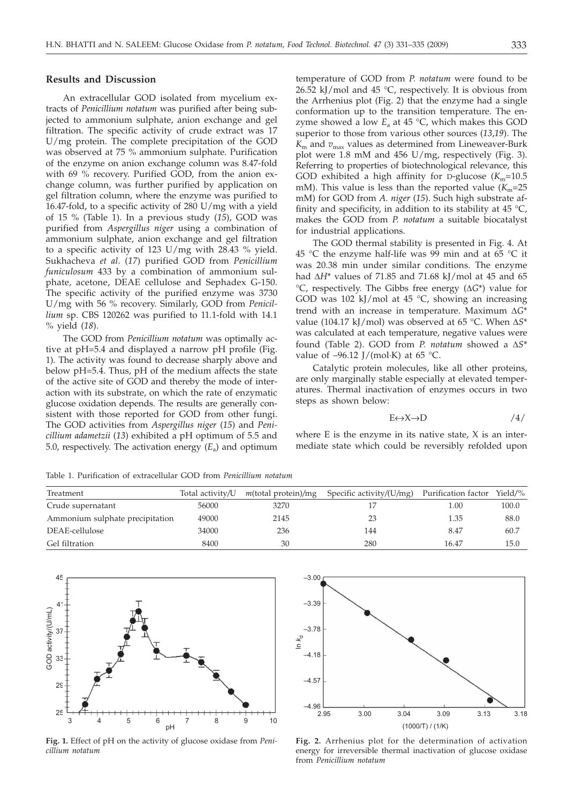## **Results and Discussion**

An extracellular GOD isolated from mycelium extracts of *Penicillium notatum* was purified after being subjected to ammonium sulphate, anion exchange and gel filtration. The specific activity of crude extract was 17 U/mg protein. The complete precipitation of the GOD was observed at 75 % ammonium sulphate. Purification of the enzyme on anion exchange column was 8.47-fold with 69 % recovery. Purified GOD, from the anion exchange column, was further purified by application on gel filtration column, where the enzyme was purified to 16.47-fold, to a specific activity of 280 U/mg with a yield of 15 % (Table 1). In a previous study (*15*), GOD was purified from *Aspergillus niger* using a combination of ammonium sulphate, anion exchange and gel filtration to a specific activity of 123 U/mg with 28.43 % yield. Sukhacheva *et al*. (*17*) purified GOD from *Penicillium funiculosum* 433 by a combination of ammonium sulphate, acetone, DEAE cellulose and Sephadex G-150. The specific activity of the purified enzyme was 3730 U/mg with 56 % recovery. Similarly, GOD from *Penicillium* sp. CBS 120262 was purified to 11.1-fold with 14.1 % yield (*18*).

The GOD from *Penicillium notatum* was optimally active at pH=5.4 and displayed a narrow pH profile (Fig. 1). The activity was found to decrease sharply above and below pH=5.4. Thus, pH of the medium affects the state of the active site of GOD and thereby the mode of interaction with its substrate, on which the rate of enzymatic glucose oxidation depends. The results are generally consistent with those reported for GOD from other fungi. The GOD activities from *Aspergillus niger* (*15*) and *Penicillium adametzii* (*13*) exhibited a pH optimum of 5.5 and 5.0, respectively. The activation energy  $(E_a)$  and optimum

temperature of GOD from *P. notatum* were found to be 26.52 kJ/mol and 45 °C, respectively. It is obvious from the Arrhenius plot (Fig. 2) that the enzyme had a single conformation up to the transition temperature. The enzyme showed a low  $E_a$  at 45  $\degree$ C, which makes this GOD superior to those from various other sources (*13*,*19*). The  $K<sub>m</sub>$  and  $v<sub>max</sub>$  values as determined from Lineweaver-Burk plot were 1.8 mM and 456 U/mg, respectively (Fig. 3). Referring to properties of biotechnological relevance, this GOD exhibited a high affinity for D-glucose  $(K_m=10.5$ mM). This value is less than the reported value  $(K_m=25)$ mM) for GOD from *A. niger* (*15*). Such high substrate affinity and specificity, in addition to its stability at  $45^{\circ}$ C, makes the GOD from *P. notatum* a suitable biocatalyst for industrial applications.

The GOD thermal stability is presented in Fig. 4. At 45 °C the enzyme half-life was 99 min and at 65 °C it was 20.38 min under similar conditions. The enzyme had  $\Delta H^*$  values of 71.85 and 71.68 kJ/mol at 45 and 65  ${}^{\circ}C$ , respectively. The Gibbs free energy ( $\Delta G^*$ ) value for GOD was  $102 \text{ kJ/mol}$  at  $45 \text{ °C}$ , showing an increasing trend with an increase in temperature. Maximum  $\Delta G^*$ value (104.17 kJ/mol) was observed at 65 °C. When  $\Delta S^*$ was calculated at each temperature, negative values were found (Table 2). GOD from *P. notatum* showed a  $\Delta S^*$ value of  $-96.12$  J/(mol·K) at 65 °C.

Catalytic protein molecules, like all other proteins, are only marginally stable especially at elevated temperatures. Thermal inactivation of enzymes occurs in two steps as shown below:

$$
E \leftrightarrow X \to D \tag{4/}
$$

where  $E$  is the enzyme in its native state,  $X$  is an intermediate state which could be reversibly refolded upon

Table 1. Purification of extracellular GOD from *Penicillium notatum*

| Treatment                       | Total activity/U | $m$ (total protein)/mg | Specific activity/ $(U/mg)$ Purification factor |       | Yield/ $%$ |
|---------------------------------|------------------|------------------------|-------------------------------------------------|-------|------------|
| Crude supernatant               | 56000            | 3270                   |                                                 | 1.00  | 100.0      |
| Ammonium sulphate precipitation | 49000            | 2145                   | 23                                              | 1.35  | 88.0       |
| DEAE-cellulose                  | 34000            | 236                    | 144                                             | 8.47  | 60.7       |
| Gel filtration                  | 8400             | 30                     | 280                                             | 16.47 | 15.0       |



**Fig. 1.** Effect of pH on the activity of glucose oxidase from *Penicillium notatum*



**Fig. 2.** Arrhenius plot for the determination of activation energy for irreversible thermal inactivation of glucose oxidase from *Penicillium notatum*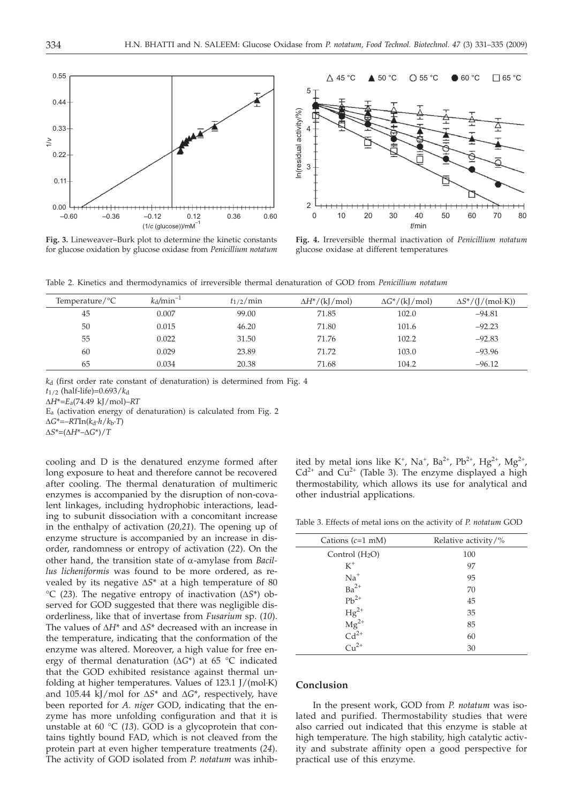

**Fig. 3.** Lineweaver–Burk plot to determine the kinetic constants for glucose oxidation by glucose oxidase from *Penicillium notatum*



**Fig. 4.** Irreversible thermal inactivation of *Penicillium notatum* glucose oxidase at different temperatures

Table 2. Kinetics and thermodynamics of irreversible thermal denaturation of GOD from *Penicillium notatum*

| Temperature/ ${}^{\circ}C$ | $k_d/min^{-1}$ | $t_{1/2}/\min$ | $\Delta H^*/(\mathrm{k} / \mathrm{mol})$ | $\Delta G^*/(\mathrm{kJ/mol})$ | $\Delta S^*/(J/(mol\cdot K))$ |
|----------------------------|----------------|----------------|------------------------------------------|--------------------------------|-------------------------------|
| 45                         | 0.007          | 99.00          | 71.85                                    | 102.0                          | $-94.81$                      |
| 50                         | 0.015          | 46.20          | 71.80                                    | 101.6                          | $-92.23$                      |
| 55                         | 0.022          | 31.50          | 71.76                                    | 102.2                          | $-92.83$                      |
| 60                         | 0.029          | 23.89          | 71.72                                    | 103.0                          | $-93.96$                      |
| 65                         | 0.034          | 20.38          | 71.68                                    | 104.2                          | $-96.12$                      |

*k*d (first order rate constant of denaturation) is determined from Fig. 4

 $t_{1/2}$  (half-life)=0.693/ $k_d$ 

D*H*\*=*E*a(74.49 kJ/mol)–*RT*

Ea (activation energy of denaturation) is calculated from Fig. 2

 $\Delta G^* = -RTIn(k_d \cdot h/k_b \cdot T)$ 

 $\Delta S^*=(\Delta H^*-\Delta G^*)/T$ 

cooling and D is the denatured enzyme formed after long exposure to heat and therefore cannot be recovered after cooling. The thermal denaturation of multimeric enzymes is accompanied by the disruption of non-covalent linkages, including hydrophobic interactions, leading to subunit dissociation with a concomitant increase in the enthalpy of activation (*20,21*). The opening up of enzyme structure is accompanied by an increase in disorder, randomness or entropy of activation (*22*). On the other hand, the transition state of a-amylase from *Bacillus licheniformis* was found to be more ordered, as revealed by its negative  $\Delta S^*$  at a high temperature of 80  $\rm{C}$  (23). The negative entropy of inactivation ( $\Delta S^*$ ) observed for GOD suggested that there was negligible disorderliness, like that of invertase from *Fusarium* sp. (*10*). The values of  $\Delta H^*$  and  $\Delta S^*$  decreased with an increase in the temperature, indicating that the conformation of the enzyme was altered. Moreover, a high value for free energy of thermal denaturation ( $\Delta G^*$ ) at 65 °C indicated that the GOD exhibited resistance against thermal unfolding at higher temperatures. Values of 123.1 J/(mol·K) and 105.44 kJ/mol for  $\Delta S^*$  and  $\Delta G^*$ , respectively, have been reported for *A. niger* GOD, indicating that the enzyme has more unfolding configuration and that it is unstable at 60 °C (*13*). GOD is a glycoprotein that contains tightly bound FAD, which is not cleaved from the protein part at even higher temperature treatments (*24*). The activity of GOD isolated from *P. notatum* was inhib-

ited by metal ions like K<sup>+</sup>, Na<sup>+</sup>, Ba<sup>2+</sup>, Pb<sup>2+</sup>, Hg<sup>2+</sup>, Mg<sup>2+</sup>,  $Cd^{2+}$  and  $Cu^{2+}$  (Table 3). The enzyme displayed a high thermostability, which allows its use for analytical and other industrial applications.

Table 3. Effects of metal ions on the activity of *P. notatum* GOD

| Relative activity/% |  |  |
|---------------------|--|--|
| 100                 |  |  |
| 97                  |  |  |
| 95                  |  |  |
| 70                  |  |  |
| 45                  |  |  |
| 35                  |  |  |
| 85                  |  |  |
| 60                  |  |  |
| 30                  |  |  |
|                     |  |  |

#### **Conclusion**

In the present work, GOD from *P. notatum* was isolated and purified. Thermostability studies that were also carried out indicated that this enzyme is stable at high temperature. The high stability, high catalytic activity and substrate affinity open a good perspective for practical use of this enzyme.